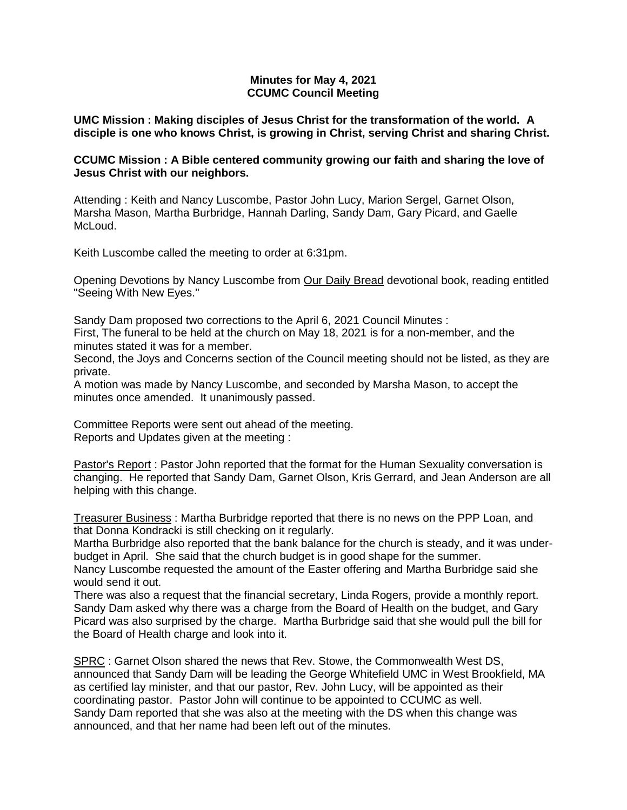## **Minutes for May 4, 2021 CCUMC Council Meeting**

**UMC Mission : Making disciples of Jesus Christ for the transformation of the world. A disciple is one who knows Christ, is growing in Christ, serving Christ and sharing Christ.**

## **CCUMC Mission : A Bible centered community growing our faith and sharing the love of Jesus Christ with our neighbors.**

Attending : Keith and Nancy Luscombe, Pastor John Lucy, Marion Sergel, Garnet Olson, Marsha Mason, Martha Burbridge, Hannah Darling, Sandy Dam, Gary Picard, and Gaelle McLoud.

Keith Luscombe called the meeting to order at 6:31pm.

Opening Devotions by Nancy Luscombe from Our Daily Bread devotional book, reading entitled "Seeing With New Eyes."

Sandy Dam proposed two corrections to the April 6, 2021 Council Minutes :

First, The funeral to be held at the church on May 18, 2021 is for a non-member, and the minutes stated it was for a member.

Second, the Joys and Concerns section of the Council meeting should not be listed, as they are private.

A motion was made by Nancy Luscombe, and seconded by Marsha Mason, to accept the minutes once amended. It unanimously passed.

Committee Reports were sent out ahead of the meeting. Reports and Updates given at the meeting :

Pastor's Report : Pastor John reported that the format for the Human Sexuality conversation is changing. He reported that Sandy Dam, Garnet Olson, Kris Gerrard, and Jean Anderson are all helping with this change.

Treasurer Business : Martha Burbridge reported that there is no news on the PPP Loan, and that Donna Kondracki is still checking on it regularly.

Martha Burbridge also reported that the bank balance for the church is steady, and it was underbudget in April. She said that the church budget is in good shape for the summer.

Nancy Luscombe requested the amount of the Easter offering and Martha Burbridge said she would send it out.

There was also a request that the financial secretary, Linda Rogers, provide a monthly report. Sandy Dam asked why there was a charge from the Board of Health on the budget, and Gary Picard was also surprised by the charge. Martha Burbridge said that she would pull the bill for the Board of Health charge and look into it.

SPRC : Garnet Olson shared the news that Rev. Stowe, the Commonwealth West DS, announced that Sandy Dam will be leading the George Whitefield UMC in West Brookfield, MA as certified lay minister, and that our pastor, Rev. John Lucy, will be appointed as their coordinating pastor. Pastor John will continue to be appointed to CCUMC as well. Sandy Dam reported that she was also at the meeting with the DS when this change was announced, and that her name had been left out of the minutes.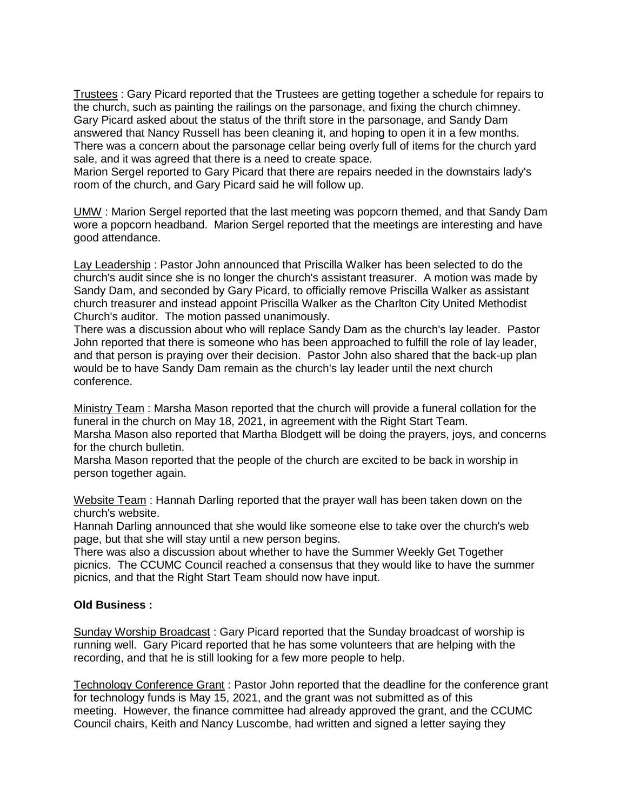Trustees : Gary Picard reported that the Trustees are getting together a schedule for repairs to the church, such as painting the railings on the parsonage, and fixing the church chimney. Gary Picard asked about the status of the thrift store in the parsonage, and Sandy Dam answered that Nancy Russell has been cleaning it, and hoping to open it in a few months. There was a concern about the parsonage cellar being overly full of items for the church yard sale, and it was agreed that there is a need to create space.

Marion Sergel reported to Gary Picard that there are repairs needed in the downstairs lady's room of the church, and Gary Picard said he will follow up.

UMW : Marion Sergel reported that the last meeting was popcorn themed, and that Sandy Dam wore a popcorn headband. Marion Sergel reported that the meetings are interesting and have good attendance.

Lay Leadership : Pastor John announced that Priscilla Walker has been selected to do the church's audit since she is no longer the church's assistant treasurer. A motion was made by Sandy Dam, and seconded by Gary Picard, to officially remove Priscilla Walker as assistant church treasurer and instead appoint Priscilla Walker as the Charlton City United Methodist Church's auditor. The motion passed unanimously.

There was a discussion about who will replace Sandy Dam as the church's lay leader. Pastor John reported that there is someone who has been approached to fulfill the role of lay leader, and that person is praying over their decision. Pastor John also shared that the back-up plan would be to have Sandy Dam remain as the church's lay leader until the next church conference.

Ministry Team : Marsha Mason reported that the church will provide a funeral collation for the funeral in the church on May 18, 2021, in agreement with the Right Start Team.

Marsha Mason also reported that Martha Blodgett will be doing the prayers, joys, and concerns for the church bulletin.

Marsha Mason reported that the people of the church are excited to be back in worship in person together again.

Website Team: Hannah Darling reported that the prayer wall has been taken down on the church's website.

Hannah Darling announced that she would like someone else to take over the church's web page, but that she will stay until a new person begins.

There was also a discussion about whether to have the Summer Weekly Get Together picnics. The CCUMC Council reached a consensus that they would like to have the summer picnics, and that the Right Start Team should now have input.

#### **Old Business :**

Sunday Worship Broadcast: Gary Picard reported that the Sunday broadcast of worship is running well. Gary Picard reported that he has some volunteers that are helping with the recording, and that he is still looking for a few more people to help.

Technology Conference Grant : Pastor John reported that the deadline for the conference grant for technology funds is May 15, 2021, and the grant was not submitted as of this meeting. However, the finance committee had already approved the grant, and the CCUMC Council chairs, Keith and Nancy Luscombe, had written and signed a letter saying they